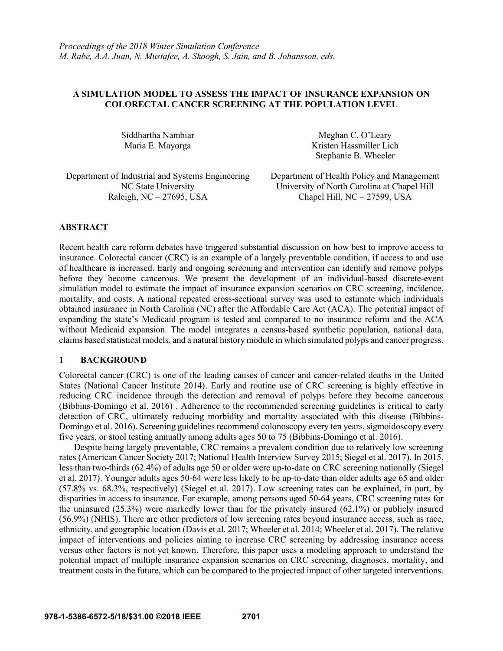# **A SIMULATION MODEL TO ASSESS THE IMPACT OF INSURANCE EXPANSION ON COLORECTAL CANCER SCREENING AT THE POPULATION LEVEL**

Siddhartha Nambiar Maria E. Mayorga

Meghan C. O'Leary Kristen Hassmiller Lich Stephanie B. Wheeler

Department of Industrial and Systems Engineering Department of Health Policy and Management Raleigh, NC – 27695, USA Chapel Hill, NC – 27599, USA

NC State University University of North Carolina at Chapel Hill

## **ABSTRACT**

Recent health care reform debates have triggered substantial discussion on how best to improve access to insurance. Colorectal cancer (CRC) is an example of a largely preventable condition, if access to and use of healthcare is increased. Early and ongoing screening and intervention can identify and remove polyps before they become cancerous. We present the development of an individual-based discrete-event simulation model to estimate the impact of insurance expansion scenarios on CRC screening, incidence, mortality, and costs. A national repeated cross-sectional survey was used to estimate which individuals obtained insurance in North Carolina (NC) after the Affordable Care Act (ACA). The potential impact of expanding the state's Medicaid program is tested and compared to no insurance reform and the ACA without Medicaid expansion. The model integrates a census-based synthetic population, national data, claims based statistical models, and a natural history module in which simulated polyps and cancer progress.

#### **1 BACKGROUND**

Colorectal cancer (CRC) is one of the leading causes of cancer and cancer-related deaths in the United States (National Cancer Institute 2014). Early and routine use of CRC screening is highly effective in reducing CRC incidence through the detection and removal of polyps before they become cancerous (Bibbins-Domingo et al. 2016) . Adherence to the recommended screening guidelines is critical to early detection of CRC, ultimately reducing morbidity and mortality associated with this disease (Bibbins-Domingo et al. 2016). Screening guidelines recommend colonoscopy every ten years, sigmoidoscopy every five years, or stool testing annually among adults ages 50 to 75 (Bibbins-Domingo et al. 2016).

Despite being largely preventable, CRC remains a prevalent condition due to relatively low screening rates (American Cancer Society 2017; National Health Interview Survey 2015; Siegel et al. 2017). In 2015, less than two-thirds (62.4%) of adults age 50 or older were up-to-date on CRC screening nationally (Siegel et al. 2017). Younger adults ages 50-64 were less likely to be up-to-date than older adults age 65 and older (57.8% vs. 68.3%, respectively) (Siegel et al. 2017). Low screening rates can be explained, in part, by disparities in access to insurance. For example, among persons aged 50-64 years, CRC screening rates for the uninsured (25.3%) were markedly lower than for the privately insured (62.1%) or publicly insured (56.9%) (NHIS). There are other predictors of low screening rates beyond insurance access, such as race, ethnicity, and geographic location (Davis et al. 2017; Wheeler et al. 2014; Wheeler et al. 2017). The relative impact of interventions and policies aiming to increase CRC screening by addressing insurance access versus other factors is not yet known. Therefore, this paper uses a modeling approach to understand the potential impact of multiple insurance expansion scenarios on CRC screening, diagnoses, mortality, and treatment costs in the future, which can be compared to the projected impact of other targeted interventions.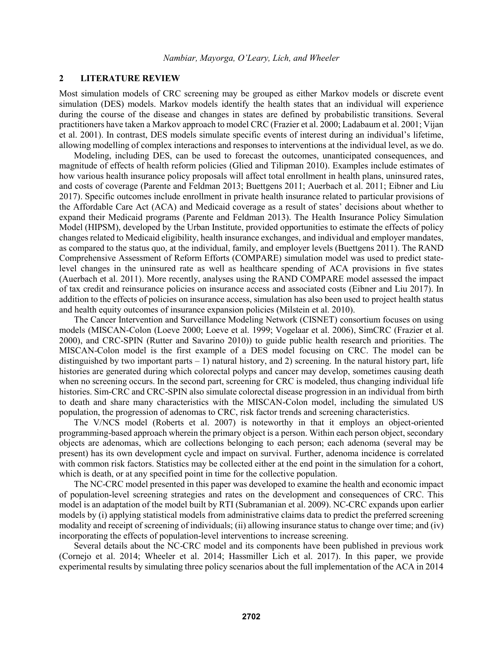#### **2 LITERATURE REVIEW**

Most simulation models of CRC screening may be grouped as either Markov models or discrete event simulation (DES) models. Markov models identify the health states that an individual will experience during the course of the disease and changes in states are defined by probabilistic transitions. Several practitioners have taken a Markov approach to model CRC (Frazier et al. 2000; Ladabaum et al. 2001; Vijan et al. 2001). In contrast, DES models simulate specific events of interest during an individual's lifetime, allowing modelling of complex interactions and responses to interventions at the individual level, as we do.

Modeling, including DES, can be used to forecast the outcomes, unanticipated consequences, and magnitude of effects of health reform policies (Glied and Tilipman 2010). Examples include estimates of how various health insurance policy proposals will affect total enrollment in health plans, uninsured rates, and costs of coverage (Parente and Feldman 2013; Buettgens 2011; Auerbach et al. 2011; Eibner and Liu 2017). Specific outcomes include enrollment in private health insurance related to particular provisions of the Affordable Care Act (ACA) and Medicaid coverage as a result of states' decisions about whether to expand their Medicaid programs (Parente and Feldman 2013). The Health Insurance Policy Simulation Model (HIPSM), developed by the Urban Institute, provided opportunities to estimate the effects of policy changes related to Medicaid eligibility, health insurance exchanges, and individual and employer mandates, as compared to the status quo, at the individual, family, and employer levels (Buettgens 2011). The RAND Comprehensive Assessment of Reform Efforts (COMPARE) simulation model was used to predict statelevel changes in the uninsured rate as well as healthcare spending of ACA provisions in five states (Auerbach et al. 2011). More recently, analyses using the RAND COMPARE model assessed the impact of tax credit and reinsurance policies on insurance access and associated costs (Eibner and Liu 2017). In addition to the effects of policies on insurance access, simulation has also been used to project health status and health equity outcomes of insurance expansion policies (Milstein et al. 2010).

The Cancer Intervention and Surveillance Modeling Network (CISNET) consortium focuses on using models (MISCAN-Colon (Loeve 2000; Loeve et al. 1999; Vogelaar et al. 2006), SimCRC (Frazier et al. 2000), and CRC-SPIN (Rutter and Savarino 2010)) to guide public health research and priorities. The MISCAN-Colon model is the first example of a DES model focusing on CRC. The model can be distinguished by two important parts  $-1$ ) natural history, and 2) screening. In the natural history part, life histories are generated during which colorectal polyps and cancer may develop, sometimes causing death when no screening occurs. In the second part, screening for CRC is modeled, thus changing individual life histories. Sim-CRC and CRC-SPIN also simulate colorectal disease progression in an individual from birth to death and share many characteristics with the MISCAN-Colon model, including the simulated US population, the progression of adenomas to CRC, risk factor trends and screening characteristics.

The V/NCS model (Roberts et al. 2007) is noteworthy in that it employs an object-oriented programming-based approach wherein the primary object is a person. Within each person object, secondary objects are adenomas, which are collections belonging to each person; each adenoma (several may be present) has its own development cycle and impact on survival. Further, adenoma incidence is correlated with common risk factors. Statistics may be collected either at the end point in the simulation for a cohort, which is death, or at any specified point in time for the collective population.

The NC-CRC model presented in this paper was developed to examine the health and economic impact of population-level screening strategies and rates on the development and consequences of CRC. This model is an adaptation of the model built by RTI (Subramanian et al. 2009). NC-CRC expands upon earlier models by (i) applying statistical models from administrative claims data to predict the preferred screening modality and receipt of screening of individuals; (ii) allowing insurance status to change over time; and (iv) incorporating the effects of population-level interventions to increase screening.

Several details about the NC-CRC model and its components have been published in previous work (Cornejo et al. 2014; Wheeler et al. 2014; Hassmiller Lich et al. 2017). In this paper, we provide experimental results by simulating three policy scenarios about the full implementation of the ACA in 2014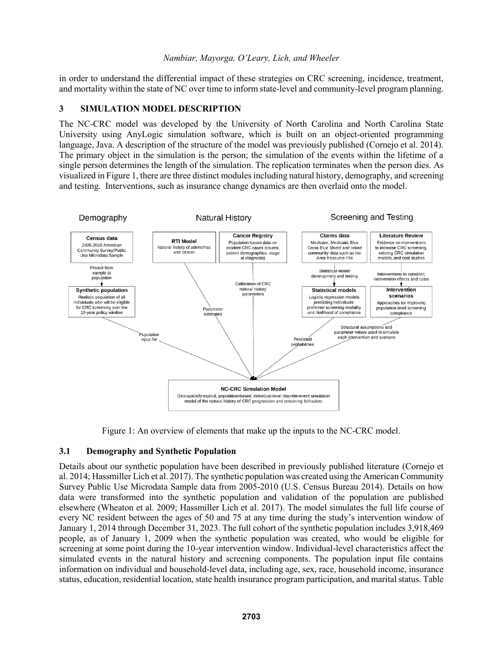in order to understand the differential impact of these strategies on CRC screening, incidence, treatment, and mortality within the state of NC over time to inform state-level and community-level program planning.

# **3 SIMULATION MODEL DESCRIPTION**

The NC-CRC model was developed by the University of North Carolina and North Carolina State University using AnyLogic simulation software, which is built on an object-oriented programming language, Java. A description of the structure of the model was previously published (Cornejo et al. 2014). The primary object in the simulation is the person; the simulation of the events within the lifetime of a single person determines the length of the simulation. The replication terminates when the person dies. As visualized in Figure 1, there are three distinct modulesincluding natural history, demography, and screening and testing. Interventions, such as insurance change dynamics are then overlaid onto the model.



Figure 1: An overview of elements that make up the inputs to the NC-CRC model.

# **3.1 Demography and Synthetic Population**

Details about our synthetic population have been described in previously published literature (Cornejo et al. 2014; Hassmiller Lich et al. 2017). The synthetic population was created using the American Community Survey Public Use Microdata Sample data from 2005-2010 (U.S. Census Bureau 2014). Details on how data were transformed into the synthetic population and validation of the population are published elsewhere (Wheaton et al. 2009; Hassmiller Lich et al. 2017). The model simulates the full life course of every NC resident between the ages of 50 and 75 at any time during the study's intervention window of January 1, 2014 through December 31, 2023. The full cohort of the synthetic population includes 3,918,469 people, as of January 1, 2009 when the synthetic population was created, who would be eligible for screening at some point during the 10-year intervention window. Individual-level characteristics affect the simulated events in the natural history and screening components. The population input file contains information on individual and household-level data, including age, sex, race, household income, insurance status, education, residential location, state health insurance program participation, and marital status. Table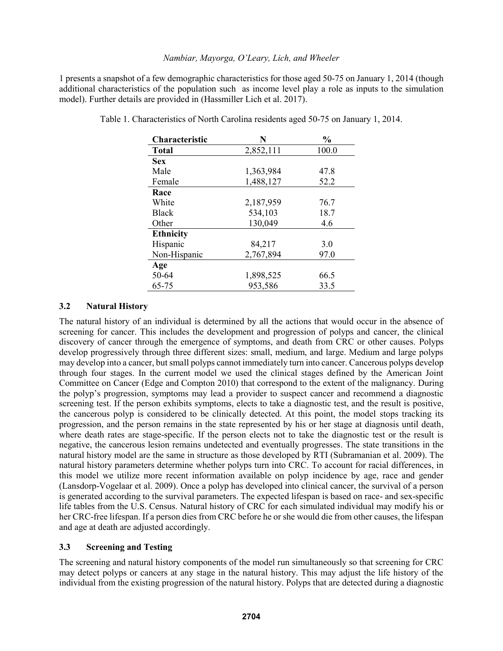1 presents a snapshot of a few demographic characteristics for those aged 50-75 on January 1, 2014 (though additional characteristics of the population such as income level play a role as inputs to the simulation model). Further details are provided in (Hassmiller Lich et al. 2017).

| <b>Characteristic</b> | N         | $\frac{0}{0}$ |
|-----------------------|-----------|---------------|
| <b>Total</b>          | 2,852,111 | 100.0         |
| <b>Sex</b>            |           |               |
| Male                  | 1,363,984 | 47.8          |
| Female                | 1,488,127 | 52.2          |
| Race                  |           |               |
| White                 | 2,187,959 | 76.7          |
| <b>Black</b>          | 534,103   | 18.7          |
| Other                 | 130,049   | 4.6           |
| <b>Ethnicity</b>      |           |               |
| Hispanic              | 84,217    | 3.0           |
| Non-Hispanic          | 2,767,894 | 97.0          |
| Age                   |           |               |
| 50-64                 | 1,898,525 | 66.5          |
| 65-75                 | 953,586   | 33.5          |

Table 1. Characteristics of North Carolina residents aged 50-75 on January 1, 2014.

# **3.2 Natural History**

The natural history of an individual is determined by all the actions that would occur in the absence of screening for cancer. This includes the development and progression of polyps and cancer, the clinical discovery of cancer through the emergence of symptoms, and death from CRC or other causes. Polyps develop progressively through three different sizes: small, medium, and large. Medium and large polyps may develop into a cancer, but small polyps cannot immediately turn into cancer. Cancerous polyps develop through four stages. In the current model we used the clinical stages defined by the American Joint Committee on Cancer (Edge and Compton 2010) that correspond to the extent of the malignancy. During the polyp's progression, symptoms may lead a provider to suspect cancer and recommend a diagnostic screening test. If the person exhibits symptoms, elects to take a diagnostic test, and the result is positive, the cancerous polyp is considered to be clinically detected. At this point, the model stops tracking its progression, and the person remains in the state represented by his or her stage at diagnosis until death, where death rates are stage-specific. If the person elects not to take the diagnostic test or the result is negative, the cancerous lesion remains undetected and eventually progresses. The state transitions in the natural history model are the same in structure as those developed by RTI (Subramanian et al. 2009). The natural history parameters determine whether polyps turn into CRC. To account for racial differences, in this model we utilize more recent information available on polyp incidence by age, race and gender (Lansdorp-Vogelaar et al. 2009). Once a polyp has developed into clinical cancer, the survival of a person is generated according to the survival parameters. The expected lifespan is based on race- and sex-specific life tables from the U.S. Census. Natural history of CRC for each simulated individual may modify his or her CRC-free lifespan. If a person dies from CRC before he or she would die from other causes, the lifespan and age at death are adjusted accordingly.

# **3.3 Screening and Testing**

The screening and natural history components of the model run simultaneously so that screening for CRC may detect polyps or cancers at any stage in the natural history. This may adjust the life history of the individual from the existing progression of the natural history. Polyps that are detected during a diagnostic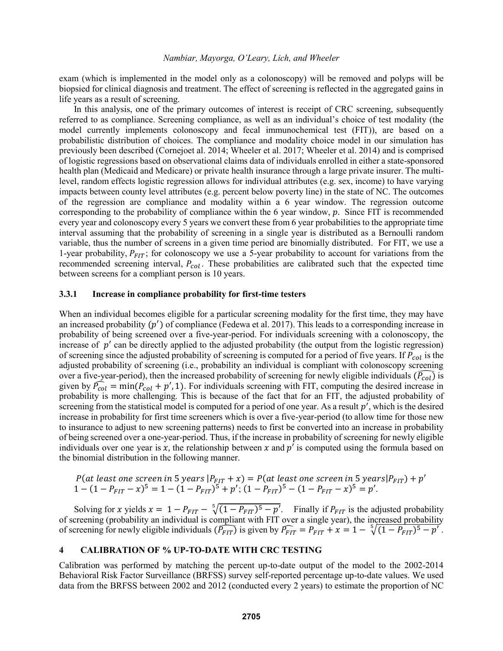exam (which is implemented in the model only as a colonoscopy) will be removed and polyps will be biopsied for clinical diagnosis and treatment. The effect of screening is reflected in the aggregated gains in life years as a result of screening.

In this analysis, one of the primary outcomes of interest is receipt of CRC screening, subsequently referred to as compliance. Screening compliance, as well as an individual's choice of test modality (the model currently implements colonoscopy and fecal immunochemical test (FIT)), are based on a probabilistic distribution of choices. The compliance and modality choice model in our simulation has previously been described (Cornejoet al. 2014; Wheeler et al. 2017; Wheeler et al. 2014) and is comprised of logistic regressions based on observational claims data of individuals enrolled in either a state-sponsored health plan (Medicaid and Medicare) or private health insurance through a large private insurer. The multilevel, random effects logistic regression allows for individual attributes (e.g. sex, income) to have varying impacts between county level attributes (e.g. percent below poverty line) in the state of NC. The outcomes of the regression are compliance and modality within a 6 year window. The regression outcome corresponding to the probability of compliance within the 6 year window,  $p$ . Since FIT is recommended every year and colonoscopy every 5 years we convert these from 6 year probabilities to the appropriate time interval assuming that the probability of screening in a single year is distributed as a Bernoulli random variable, thus the number of screens in a given time period are binomially distributed. For FIT, we use a 1-year probability,  $P_{FIT}$ ; for colonoscopy we use a 5-year probability to account for variations from the recommended screening interval,  $P_{col}$ . These probabilities are calibrated such that the expected time between screens for a compliant person is 10 years.

#### **3.3.1 Increase in compliance probability for first-time testers**

When an individual becomes eligible for a particular screening modality for the first time, they may have an increased probability  $(p')$  of compliance (Fedewa et al. 2017). This leads to a corresponding increase in probability of being screened over a five-year-period. For individuals screening with a colonoscopy, the increase of  $p'$  can be directly applied to the adjusted probability (the output from the logistic regression) of screening since the adjusted probability of screening is computed for a period of five years. If  $P_{col}$  is the adjusted probability of screening (i.e., probability an individual is compliant with colonoscopy screening over a five-year-period), then the increased probability of screening for newly eligible individuals ( $\widehat{P_{coll}}$ ) is given by  $\hat{P}_{col} = \min(\hat{P}_{col} + p', 1)$ . For individuals screening with FIT, computing the desired increase in probability is more challenging. This is because of the fact that for an FIT, the adjusted probability of screening from the statistical model is computed for a period of one year. As a result  $p'$ , which is the desired increase in probability for first time screeners which is over a five-year-period (to allow time for those new to insurance to adjust to new screening patterns) needs to first be converted into an increase in probability of being screened over a one-year-period. Thus, if the increase in probability of screening for newly eligible individuals over one year is x, the relationship between x and  $p'$  is computed using the formula based on the binomial distribution in the following manner.

P(at least one screen in 5 years  $|P_{EIT} + x| = P(at least one screen in 5 years |P_{FIT}) + p'$  $1 - (1 - P_{FIT} - x)^5 = 1 - (1 - P_{FIT})^5 + p'; (1 - P_{FIT})^5 - (1 - P_{FIT} - x)^5 = p'.$ 

Solving for x yields  $x = 1 - P_{FIT} - \sqrt[5]{(1 - P_{FIT})^5 - p'}$ . Finally if  $P_{FIT}$  is the adjusted probability of screening (probability an individual is compliant with FIT over a single year), the increased probability of screening for newly eligible individuals  $(\widehat{P_{FIT}})$  is given by  $\widehat{P_{FIT}} = P_{FIT} + x = 1 - \sqrt[5]{(1 - P_{FIT})^5 - p'}$ .

#### **4 CALIBRATION OF % UP-TO-DATE WITH CRC TESTING**

Calibration was performed by matching the percent up-to-date output of the model to the 2002-2014 Behavioral Risk Factor Surveillance (BRFSS) survey self-reported percentage up-to-date values. We used data from the BRFSS between 2002 and 2012 (conducted every 2 years) to estimate the proportion of NC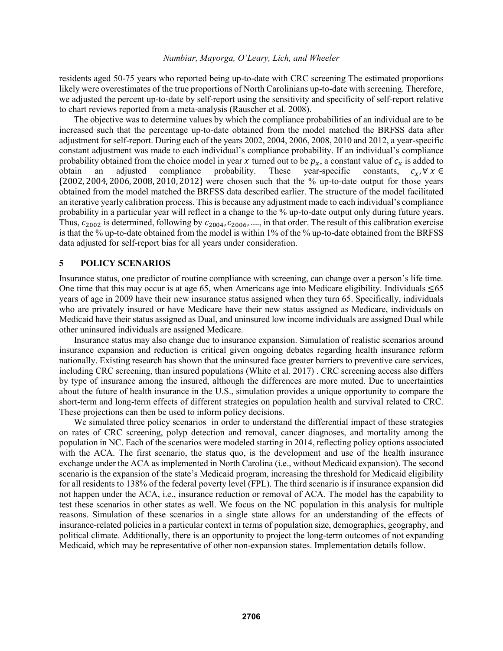residents aged 50-75 years who reported being up-to-date with CRC screening The estimated proportions likely were overestimates of the true proportions of North Carolinians up-to-date with screening. Therefore, we adjusted the percent up-to-date by self-report using the sensitivity and specificity of self-report relative to chart reviews reported from a meta-analysis (Rauscher et al. 2008).

The objective was to determine values by which the compliance probabilities of an individual are to be increased such that the percentage up-to-date obtained from the model matched the BRFSS data after adjustment for self-report. During each of the years 2002, 2004, 2006, 2008, 2010 and 2012, a year-specific constant adjustment was made to each individual's compliance probability. If an individual's compliance probability obtained from the choice model in year x turned out to be  $p_x$ , a constant value of  $c_x$  is added to obtain an adjusted compliance probability. These year-specific constants,  $c_x$ ,  $\forall x \in$ obtain an adjusted compliance probability. These year-specific constants,  $c_x$ ,  $\forall x \in$ {2002, 2004, 2006, 2008, 2010, 2012} were chosen such that the % up-to-date output for those years obtained from the model matched the BRFSS data described earlier. The structure of the model facilitated an iterative yearly calibration process. This is because any adjustment made to each individual's compliance probability in a particular year will reflect in a change to the % up-to-date output only during future years. Thus,  $c_{2002}$  is determined, following by  $c_{2004}$ ,  $c_{2006}$ , ..., in that order. The result of this calibration exercise is that the % up-to-date obtained from the model is within 1% of the % up-to-date obtained from the BRFSS data adjusted for self-report bias for all years under consideration.

#### **5 POLICY SCENARIOS**

Insurance status, one predictor of routine compliance with screening, can change over a person's life time. One time that this may occur is at age 65, when Americans age into Medicare eligibility. Individuals  $\leq 65$ years of age in 2009 have their new insurance status assigned when they turn 65. Specifically, individuals who are privately insured or have Medicare have their new status assigned as Medicare, individuals on Medicaid have their status assigned as Dual, and uninsured low income individuals are assigned Dual while other uninsured individuals are assigned Medicare.

Insurance status may also change due to insurance expansion. Simulation of realistic scenarios around insurance expansion and reduction is critical given ongoing debates regarding health insurance reform nationally. Existing research has shown that the uninsured face greater barriers to preventive care services, including CRC screening, than insured populations (White et al. 2017) . CRC screening access also differs by type of insurance among the insured, although the differences are more muted. Due to uncertainties about the future of health insurance in the U.S., simulation provides a unique opportunity to compare the short-term and long-term effects of different strategies on population health and survival related to CRC. These projections can then be used to inform policy decisions.

We simulated three policy scenarios in order to understand the differential impact of these strategies on rates of CRC screening, polyp detection and removal, cancer diagnoses, and mortality among the population in NC. Each of the scenarios were modeled starting in 2014, reflecting policy options associated with the ACA. The first scenario, the status quo, is the development and use of the health insurance exchange under the ACA as implemented in North Carolina (i.e., without Medicaid expansion). The second scenario is the expansion of the state's Medicaid program, increasing the threshold for Medicaid eligibility for all residents to 138% of the federal poverty level (FPL). The third scenario is if insurance expansion did not happen under the ACA, i.e., insurance reduction or removal of ACA. The model has the capability to test these scenarios in other states as well. We focus on the NC population in this analysis for multiple reasons. Simulation of these scenarios in a single state allows for an understanding of the effects of insurance-related policies in a particular context in terms of population size, demographics, geography, and political climate. Additionally, there is an opportunity to project the long-term outcomes of not expanding Medicaid, which may be representative of other non-expansion states. Implementation details follow.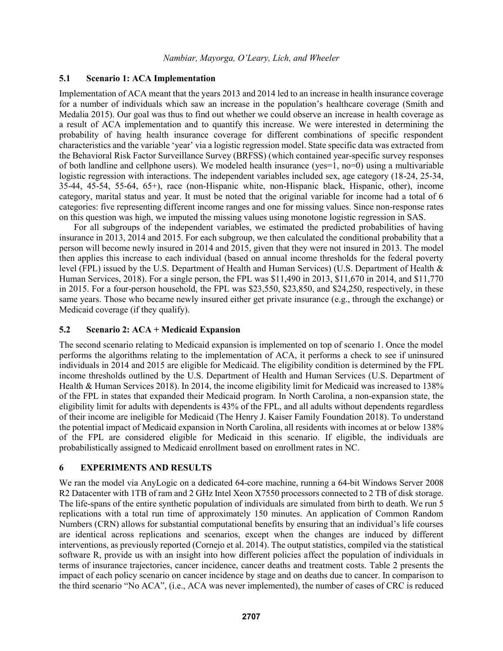## **5.1 Scenario 1: ACA Implementation**

Implementation of ACA meant that the years 2013 and 2014 led to an increase in health insurance coverage for a number of individuals which saw an increase in the population's healthcare coverage (Smith and Medalia 2015). Our goal was thus to find out whether we could observe an increase in health coverage as a result of ACA implementation and to quantify this increase. We were interested in determining the probability of having health insurance coverage for different combinations of specific respondent characteristics and the variable 'year' via a logistic regression model. State specific data was extracted from the Behavioral Risk Factor Surveillance Survey (BRFSS) (which contained year-specific survey responses of both landline and cellphone users). We modeled health insurance (yes=1, no=0) using a multivariable logistic regression with interactions. The independent variables included sex, age category (18-24, 25-34, 35-44, 45-54, 55-64, 65+), race (non-Hispanic white, non-Hispanic black, Hispanic, other), income category, marital status and year. It must be noted that the original variable for income had a total of 6 categories: five representing different income ranges and one for missing values. Since non-response rates on this question was high, we imputed the missing values using monotone logistic regression in SAS.

For all subgroups of the independent variables, we estimated the predicted probabilities of having insurance in 2013, 2014 and 2015. For each subgroup, we then calculated the conditional probability that a person will become newly insured in 2014 and 2015, given that they were not insured in 2013. The model then applies this increase to each individual (based on annual income thresholds for the federal poverty level (FPL) issued by the U.S. Department of Health and Human Services) (U.S. Department of Health & Human Services, 2018). For a single person, the FPL was \$11,490 in 2013, \$11,670 in 2014, and \$11,770 in 2015. For a four-person household, the FPL was \$23,550, \$23,850, and \$24,250, respectively, in these same years. Those who became newly insured either get private insurance (e.g., through the exchange) or Medicaid coverage (if they qualify).

# **5.2 Scenario 2: ACA + Medicaid Expansion**

The second scenario relating to Medicaid expansion is implemented on top of scenario 1. Once the model performs the algorithms relating to the implementation of ACA, it performs a check to see if uninsured individuals in 2014 and 2015 are eligible for Medicaid. The eligibility condition is determined by the FPL income thresholds outlined by the U.S. Department of Health and Human Services (U.S. Department of Health & Human Services 2018). In 2014, the income eligibility limit for Medicaid was increased to 138% of the FPL in states that expanded their Medicaid program. In North Carolina, a non-expansion state, the eligibility limit for adults with dependents is 43% of the FPL, and all adults without dependents regardless of their income are ineligible for Medicaid (The Henry J. Kaiser Family Foundation 2018). To understand the potential impact of Medicaid expansion in North Carolina, all residents with incomes at or below 138% of the FPL are considered eligible for Medicaid in this scenario. If eligible, the individuals are probabilistically assigned to Medicaid enrollment based on enrollment rates in NC.

# **6 EXPERIMENTS AND RESULTS**

We ran the model via AnyLogic on a dedicated 64-core machine, running a 64-bit Windows Server 2008 R2 Datacenter with 1TB of ram and 2 GHz Intel Xeon X7550 processors connected to 2 TB of disk storage. The life-spans of the entire synthetic population of individuals are simulated from birth to death. We run 5 replications with a total run time of approximately 150 minutes. An application of Common Random Numbers (CRN) allows for substantial computational benefits by ensuring that an individual's life courses are identical across replications and scenarios, except when the changes are induced by different interventions, as previously reported (Cornejo et al. 2014). The output statistics, compiled via the statistical software R, provide us with an insight into how different policies affect the population of individuals in terms of insurance trajectories, cancer incidence, cancer deaths and treatment costs. Table 2 presents the impact of each policy scenario on cancer incidence by stage and on deaths due to cancer. In comparison to the third scenario "No ACA", (i.e., ACA was never implemented), the number of cases of CRC is reduced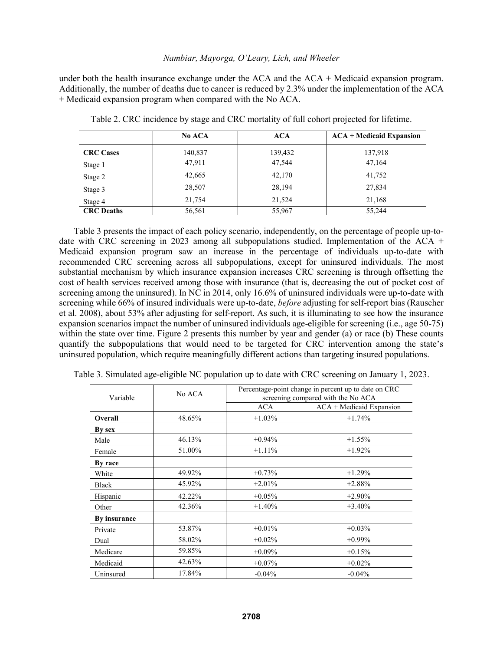under both the health insurance exchange under the  $ACA$  and the  $ACA$  + Medicaid expansion program. Additionally, the number of deaths due to cancer is reduced by 2.3% under the implementation of the ACA + Medicaid expansion program when compared with the No ACA.

|                   | No ACA  | <b>ACA</b> | $ACA + Medicaid Expansion$ |
|-------------------|---------|------------|----------------------------|
| <b>CRC</b> Cases  | 140,837 | 139,432    | 137,918                    |
| Stage 1           | 47,911  | 47,544     | 47,164                     |
| Stage 2           | 42,665  | 42,170     | 41,752                     |
| Stage 3           | 28,507  | 28,194     | 27,834                     |
| Stage 4           | 21,754  | 21,524     | 21,168                     |
| <b>CRC</b> Deaths | 56,561  | 55,967     | 55,244                     |

Table 2. CRC incidence by stage and CRC mortality of full cohort projected for lifetime.

Table 3 presents the impact of each policy scenario, independently, on the percentage of people up-todate with CRC screening in 2023 among all subpopulations studied. Implementation of the ACA + Medicaid expansion program saw an increase in the percentage of individuals up-to-date with recommended CRC screening across all subpopulations, except for uninsured individuals. The most substantial mechanism by which insurance expansion increases CRC screening is through offsetting the cost of health services received among those with insurance (that is, decreasing the out of pocket cost of screening among the uninsured). In NC in 2014, only 16.6% of uninsured individuals were up-to-date with screening while 66% of insured individuals were up-to-date, *before* adjusting for self-report bias (Rauscher et al. 2008), about 53% after adjusting for self-report. As such, it is illuminating to see how the insurance expansion scenarios impact the number of uninsured individuals age-eligible for screening (i.e., age 50-75) within the state over time. Figure 2 presents this number by year and gender (a) or race (b) These counts quantify the subpopulations that would need to be targeted for CRC intervention among the state's uninsured population, which require meaningfully different actions than targeting insured populations.

| Variable     | No ACA | Percentage-point change in percent up to date on CRC<br>screening compared with the No ACA |                            |
|--------------|--------|--------------------------------------------------------------------------------------------|----------------------------|
|              |        | <b>ACA</b>                                                                                 | $ACA + Medicaid Expansion$ |
| Overall      | 48.65% | $+1.03\%$                                                                                  | $+1.74%$                   |
| By sex       |        |                                                                                            |                            |
| Male         | 46.13% | $+0.94%$                                                                                   | $+1.55%$                   |
| Female       | 51.00% | $+1.11\%$                                                                                  | $+1.92%$                   |
| By race      |        |                                                                                            |                            |
| White        | 49.92% | $+0.73%$                                                                                   | $+1.29%$                   |
| <b>Black</b> | 45.92% | $+2.01\%$                                                                                  | $+2.88%$                   |
| Hispanic     | 42.22% | $+0.05%$                                                                                   | $+2.90\%$                  |
| Other        | 42.36% | $+1.40\%$                                                                                  | $+3.40%$                   |
| By insurance |        |                                                                                            |                            |
| Private      | 53.87% | $+0.01%$                                                                                   | $+0.03%$                   |
| Dual         | 58.02% | $+0.02\%$                                                                                  | $+0.99\%$                  |
| Medicare     | 59.85% | $+0.09%$                                                                                   | $+0.15%$                   |
| Medicaid     | 42.63% | $+0.07\%$                                                                                  | $+0.02%$                   |
| Uninsured    | 17.84% | $-0.04%$                                                                                   | $-0.04%$                   |

Table 3. Simulated age-eligible NC population up to date with CRC screening on January 1, 2023.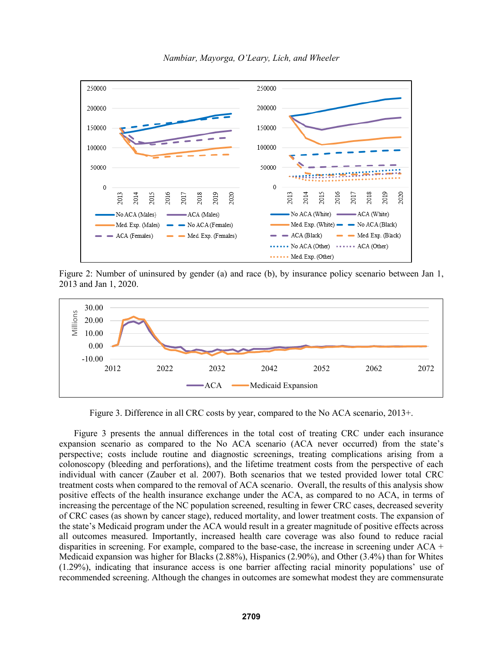

*Nambiar, Mayorga, O'Leary, Lich, and Wheeler*

Figure 2: Number of uninsured by gender (a) and race (b), by insurance policy scenario between Jan 1, 2013 and Jan 1, 2020.



Figure 3. Difference in all CRC costs by year, compared to the No ACA scenario, 2013+.

Figure 3 presents the annual differences in the total cost of treating CRC under each insurance expansion scenario as compared to the No ACA scenario (ACA never occurred) from the state's perspective; costs include routine and diagnostic screenings, treating complications arising from a colonoscopy (bleeding and perforations), and the lifetime treatment costs from the perspective of each individual with cancer (Zauber et al. 2007). Both scenarios that we tested provided lower total CRC treatment costs when compared to the removal of ACA scenario. Overall, the results of this analysis show positive effects of the health insurance exchange under the ACA, as compared to no ACA, in terms of increasing the percentage of the NC population screened, resulting in fewer CRC cases, decreased severity of CRC cases (as shown by cancer stage), reduced mortality, and lower treatment costs. The expansion of the state's Medicaid program under the ACA would result in a greater magnitude of positive effects across all outcomes measured. Importantly, increased health care coverage was also found to reduce racial disparities in screening. For example, compared to the base-case, the increase in screening under ACA + Medicaid expansion was higher for Blacks (2.88%), Hispanics (2.90%), and Other (3.4%) than for Whites (1.29%), indicating that insurance access is one barrier affecting racial minority populations' use of recommended screening. Although the changes in outcomes are somewhat modest they are commensurate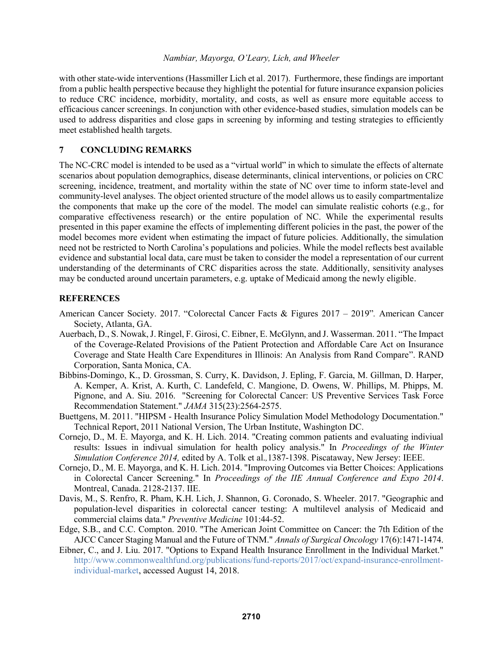with other state-wide interventions (Hassmiller Lich et al. 2017). Furthermore, these findings are important from a public health perspective because they highlight the potential for future insurance expansion policies to reduce CRC incidence, morbidity, mortality, and costs, as well as ensure more equitable access to efficacious cancer screenings. In conjunction with other evidence-based studies, simulation models can be used to address disparities and close gaps in screening by informing and testing strategies to efficiently meet established health targets.

# **7 CONCLUDING REMARKS**

The NC-CRC model is intended to be used as a "virtual world" in which to simulate the effects of alternate scenarios about population demographics, disease determinants, clinical interventions, or policies on CRC screening, incidence, treatment, and mortality within the state of NC over time to inform state-level and community-level analyses. The object oriented structure of the model allows us to easily compartmentalize the components that make up the core of the model. The model can simulate realistic cohorts (e.g., for comparative effectiveness research) or the entire population of NC. While the experimental results presented in this paper examine the effects of implementing different policies in the past, the power of the model becomes more evident when estimating the impact of future policies. Additionally, the simulation need not be restricted to North Carolina's populations and policies. While the model reflects best available evidence and substantial local data, care must be taken to consider the model a representation of our current understanding of the determinants of CRC disparities across the state. Additionally, sensitivity analyses may be conducted around uncertain parameters, e.g. uptake of Medicaid among the newly eligible.

# **REFERENCES**

- American Cancer Society. 2017. "Colorectal Cancer Facts & Figures 2017 2019"*.* American Cancer Society, Atlanta, GA.
- Auerbach, D., S. Nowak, J. Ringel, F. Girosi, C. Eibner, E. McGlynn, and J. Wasserman. 2011. "The Impact of the Coverage-Related Provisions of the Patient Protection and Affordable Care Act on Insurance Coverage and State Health Care Expenditures in Illinois: An Analysis from Rand Compare". RAND Corporation, Santa Monica, CA.
- Bibbins-Domingo, K., D. Grossman, S. Curry, K. Davidson, J. Epling, F. Garcia, M. Gillman, D. Harper, A. Kemper, A. Krist, A. Kurth, C. Landefeld, C. Mangione, D. Owens, W. Phillips, M. Phipps, M. Pignone, and A. Siu. 2016. "Screening for Colorectal Cancer: US Preventive Services Task Force Recommendation Statement." *JAMA* 315(23):2564-2575.
- Buettgens, M. 2011. "HIPSM Health Insurance Policy Simulation Model Methodology Documentation." Technical Report, 2011 National Version, The Urban Institute, Washington DC.
- Cornejo, D., M. E. Mayorga, and K. H. Lich. 2014. "Creating common patients and evaluating indiviual results: Issues in indivual simulation for health policy analysis." In *Proceedings of the Winter Simulation Conference 2014,* edited by A. Tolk et al.*,*1387-1398. Piscataway, New Jersey: IEEE.
- Cornejo, D., M. E. Mayorga, and K. H. Lich. 2014. "Improving Outcomes via Better Choices: Applications in Colorectal Cancer Screening." In *Proceedings of the IIE Annual Conference and Expo 2014*. Montreal, Canada. 2128-2137. IIE.
- Davis, M., S. Renfro, R. Pham, K.H. Lich, J. Shannon, G. Coronado, S. Wheeler. 2017. "Geographic and population-level disparities in colorectal cancer testing: A multilevel analysis of Medicaid and commercial claims data." *Preventive Medicine* 101:44-52.
- Edge, S.B., and C.C. Compton. 2010. "The American Joint Committee on Cancer: the 7th Edition of the AJCC Cancer Staging Manual and the Future of TNM." *Annals of Surgical Oncology* 17(6):1471-1474.
- Eibner, C., and J. Liu. 2017. "Options to Expand Health Insurance Enrollment in the Individual Market." http://www.commonwealthfund.org/publications/fund-reports/2017/oct/expand-insurance-enrollmentindividual-market, accessed August 14, 2018.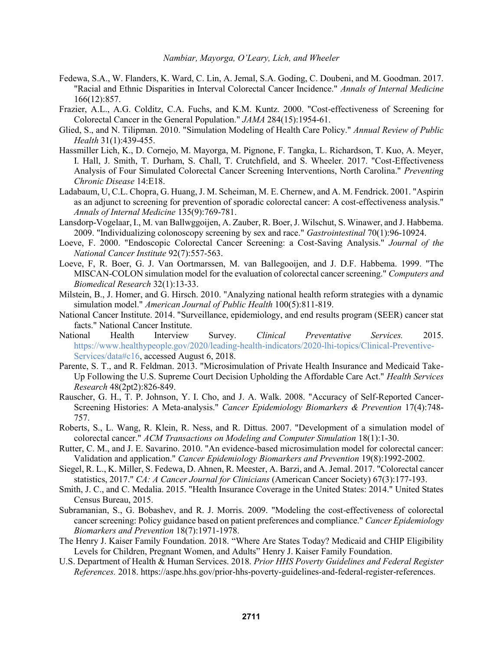- Fedewa, S.A., W. Flanders, K. Ward, C. Lin, A. Jemal, S.A. Goding, C. Doubeni, and M. Goodman. 2017. "Racial and Ethnic Disparities in Interval Colorectal Cancer Incidence." *Annals of Internal Medicine* 166(12):857.
- Frazier, A.L., A.G. Colditz, C.A. Fuchs, and K.M. Kuntz. 2000. "Cost-effectiveness of Screening for Colorectal Cancer in the General Population." *JAMA* 284(15):1954-61.
- Glied, S., and N. Tilipman. 2010. "Simulation Modeling of Health Care Policy." *Annual Review of Public Health* 31(1):439-455.
- Hassmiller Lich, K., D. Cornejo, M. Mayorga, M. Pignone, F. Tangka, L. Richardson, T. Kuo, A. Meyer, I. Hall, J. Smith, T. Durham, S. Chall, T. Crutchfield, and S. Wheeler. 2017. "Cost-Effectiveness Analysis of Four Simulated Colorectal Cancer Screening Interventions, North Carolina." *Preventing Chronic Disease* 14:E18.
- Ladabaum, U, C.L. Chopra, G. Huang, J. M. Scheiman, M. E. Chernew, and A. M. Fendrick. 2001. "Aspirin as an adjunct to screening for prevention of sporadic colorectal cancer: A cost-effectiveness analysis." *Annals of Internal Medicine* 135(9):769-781.
- Lansdorp-Vogelaar, I., M. van Ballwggoijen, A. Zauber, R. Boer, J. Wilschut, S. Winawer, and J. Habbema. 2009. "Individualizing colonoscopy screening by sex and race." *Gastrointestinal* 70(1):96-10924.
- Loeve, F. 2000. "Endoscopic Colorectal Cancer Screening: a Cost-Saving Analysis." *Journal of the National Cancer Institute* 92(7):557-563.
- Loeve, F, R. Boer, G. J. Van Oortmarssen, M. van Ballegooijen, and J. D.F. Habbema. 1999. "The MISCAN-COLON simulation model for the evaluation of colorectal cancer screening." *Computers and Biomedical Research* 32(1):13-33.
- Milstein, B., J. Homer, and G. Hirsch. 2010. "Analyzing national health reform strategies with a dynamic simulation model." *American Journal of Public Health* 100(5):811-819.
- National Cancer Institute. 2014. "Surveillance, epidemiology, and end results program (SEER) cancer stat facts." National Cancer Institute.
- National Health Interview Survey. *Clinical Preventative Services.* 2015. https://www.healthypeople.gov/2020/leading-health-indicators/2020-lhi-topics/Clinical-Preventive-Services/data#c16, accessed August 6, 2018.
- Parente, S. T., and R. Feldman. 2013. "Microsimulation of Private Health Insurance and Medicaid Take-Up Following the U.S. Supreme Court Decision Upholding the Affordable Care Act." *Health Services Research* 48(2pt2):826-849.
- Rauscher, G. H., T. P. Johnson, Y. I. Cho, and J. A. Walk. 2008. "Accuracy of Self-Reported Cancer-Screening Histories: A Meta-analysis." *Cancer Epidemiology Biomarkers & Prevention* 17(4):748- 757.
- Roberts, S., L. Wang, R. Klein, R. Ness, and R. Dittus. 2007. "Development of a simulation model of colorectal cancer." *ACM Transactions on Modeling and Computer Simulation* 18(1):1-30.
- Rutter, C. M., and J. E. Savarino. 2010. "An evidence-based microsimulation model for colorectal cancer: Validation and application." *Cancer Epidemiology Biomarkers and Prevention* 19(8):1992-2002.
- Siegel, R. L., K. Miller, S. Fedewa, D. Ahnen, R. Meester, A. Barzi, and A. Jemal. 2017. "Colorectal cancer statistics, 2017." *CA: A Cancer Journal for Clinicians* (American Cancer Society) 67(3):177-193.
- Smith, J. C., and C. Medalia. 2015. "Health Insurance Coverage in the United States: 2014." United States Census Bureau, 2015.
- Subramanian, S., G. Bobashev, and R. J. Morris. 2009. "Modeling the cost-effectiveness of colorectal cancer screening: Policy guidance based on patient preferences and compliance." *Cancer Epidemiology Biomarkers and Prevention* 18(7):1971-1978.
- The Henry J. Kaiser Family Foundation. 2018. "Where Are States Today? Medicaid and CHIP Eligibility Levels for Children, Pregnant Women, and Adults" Henry J. Kaiser Family Foundation.
- U.S. Department of Health & Human Services. 2018. *Prior HHS Poverty Guidelines and Federal Register References.* 2018. https://aspe.hhs.gov/prior-hhs-poverty-guidelines-and-federal-register-references.